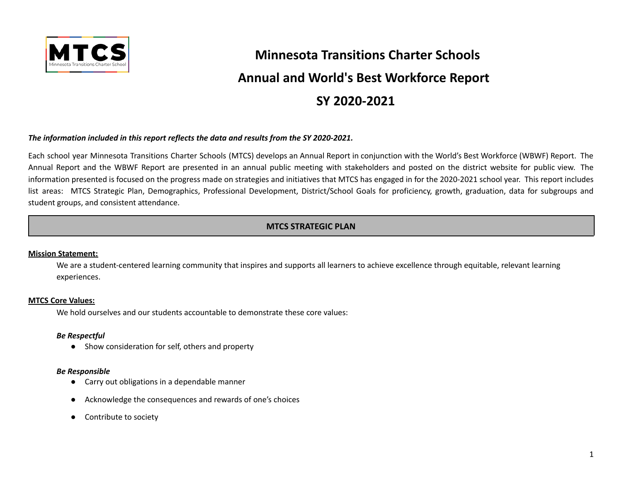

# **Minnesota Transitions Charter Schools Annual and World's Best Workforce Report SY 2020-2021**

### *The information included in this report reflects the data and results from the SY 2020-2021.*

Each school year Minnesota Transitions Charter Schools (MTCS) develops an Annual Report in conjunction with the World's Best Workforce (WBWF) Report. The Annual Report and the WBWF Report are presented in an annual public meeting with stakeholders and posted on the district website for public view. The information presented is focused on the progress made on strategies and initiatives that MTCS has engaged in for the 2020-2021 school year. This report includes list areas: MTCS Strategic Plan, Demographics, Professional Development, District/School Goals for proficiency, growth, graduation, data for subgroups and student groups, and consistent attendance.

# **MTCS STRATEGIC PLAN**

### **Mission Statement:**

We are a student-centered learning community that inspires and supports all learners to achieve excellence through equitable, relevant learning experiences.

### **MTCS Core Values:**

We hold ourselves and our students accountable to demonstrate these core values:

### *Be Respectful*

● Show consideration for self, others and property

#### *Be Responsible*

- Carry out obligations in a dependable manner
- Acknowledge the consequences and rewards of one's choices
- Contribute to society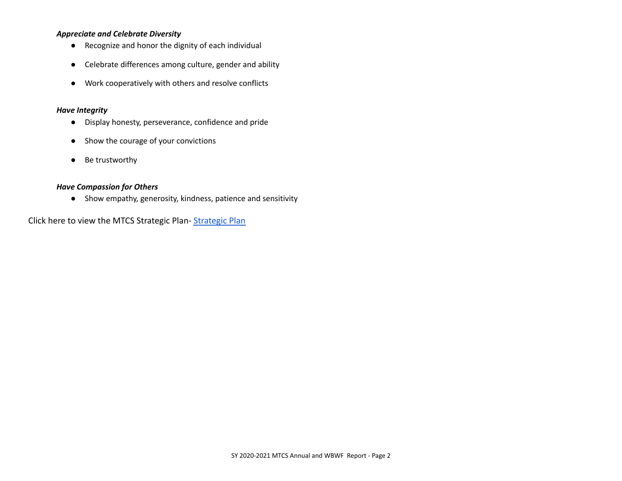## *Appreciate and Celebrate Diversity*

- Recognize and honor the dignity of each individual
- Celebrate differences among culture, gender and ability
- Work cooperatively with others and resolve conflicts

## *Have Integrity*

- Display honesty, perseverance, confidence and pride
- Show the courage of your convictions
- Be trustworthy

## *Have Compassion for Others*

● Show empathy, generosity, kindness, patience and sensitivity

Click here to view the MTCS Strategic Plan- [Strategic](https://mtcs.org/plans-and-reports/) Plan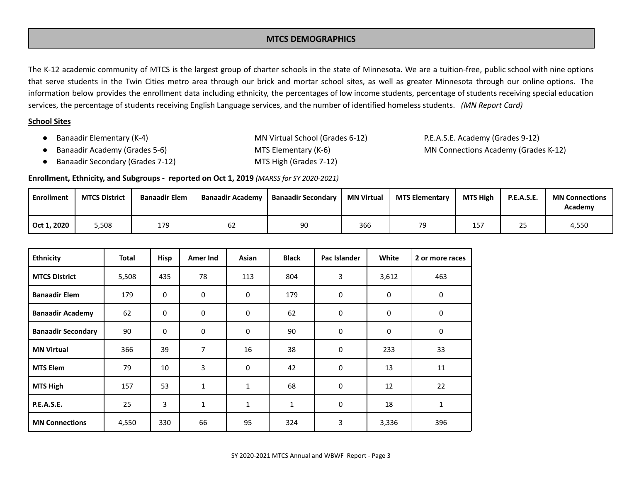## **MTCS DEMOGRAPHICS**

The K-12 academic community of MTCS is the largest group of charter schools in the state of Minnesota. We are a tuition-free, public school with nine options that serve students in the Twin Cities metro area through our brick and mortar school sites, as well as greater Minnesota through our online options. The information below provides the enrollment data including ethnicity, the percentages of low income students, percentage of students receiving special education services, the percentage of students receiving English Language services, and the number of identified homeless students. *(MN Report Card)*

## **School Sites**

● Banaadir Elementary (K-4) MN Virtual School (Grades 6-12) P.E.A.S.E. Academy (Grades 9-12) Banaadir Academy (Grades 5-6) **MTS Elementary (K-6)** MN Connections Academy (Grades K-12)

- Banaadir Secondary (Grades 7-12) MTS High (Grades 7-12)
- 

## **Enrollment, Ethnicity, and Subgroups - reported on Oct 1, 2019** *(MARSS for SY 2020-2021)*

| Enrollment  | <b>MTCS District</b> | <b>Banaadir Elem</b> | <b>Banaadir Academy</b> | <b>Banaadir Secondary</b> | <b>MN Virtual</b> | <b>MTS Elementary</b> | <b>MTS High</b> | <b>P.E.A.S.E.</b> | <b>MN Connections</b><br>Academy |
|-------------|----------------------|----------------------|-------------------------|---------------------------|-------------------|-----------------------|-----------------|-------------------|----------------------------------|
| Oct 1, 2020 | 5,508                | 179                  | bΖ                      | 90                        | 366               | 70                    | 157             | 25                | 4,550                            |

| <b>Ethnicity</b>          | Total | Hisp        | Amer Ind     | Asian        | <b>Black</b> | Pac Islander | White       | 2 or more races |
|---------------------------|-------|-------------|--------------|--------------|--------------|--------------|-------------|-----------------|
| <b>MTCS District</b>      | 5,508 | 435         | 78           | 113          | 804          | 3            | 3,612       | 463             |
| <b>Banaadir Elem</b>      | 179   | 0           | $\mathbf 0$  | $\mathbf 0$  | 179          | 0            | $\mathbf 0$ | 0               |
| <b>Banaadir Academy</b>   | 62    | 0           | $\mathbf 0$  | 0            | 62           | 0            | 0           | 0               |
| <b>Banaadir Secondary</b> | 90    | $\mathbf 0$ | 0            | $\mathbf 0$  | 90           | 0            | 0           | 0               |
| <b>MN Virtual</b>         | 366   | 39          | 7            | 16           | 38           | 0            | 233         | 33              |
| <b>MTS Elem</b>           | 79    | 10          | 3            | $\mathbf 0$  | 42           | 0            | 13          | 11              |
| <b>MTS High</b>           | 157   | 53          | $\mathbf{1}$ | $\mathbf{1}$ | 68           | 0            | 12          | 22              |
| <b>P.E.A.S.E.</b>         | 25    | 3           | $\mathbf{1}$ | 1            | $\mathbf{1}$ | 0            | 18          | $\mathbf{1}$    |
| <b>MN Connections</b>     | 4,550 | 330         | 66           | 95           | 324          | 3            | 3,336       | 396             |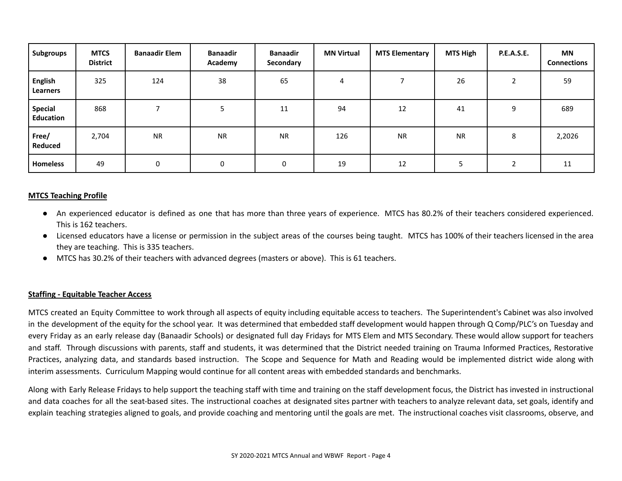| Subgroups                   | <b>MTCS</b><br><b>District</b> | <b>Banaadir Elem</b> | <b>Banaadir</b><br>Academy | <b>Banaadir</b><br>Secondary | <b>MN Virtual</b> | <b>MTS Elementary</b> | <b>MTS High</b> | <b>P.E.A.S.E.</b> | <b>MN</b><br><b>Connections</b> |
|-----------------------------|--------------------------------|----------------------|----------------------------|------------------------------|-------------------|-----------------------|-----------------|-------------------|---------------------------------|
| <b>English</b><br>Learners  | 325                            | 124                  | 38                         | 65                           | 4                 |                       | 26              | ∍                 | 59                              |
| <b>Special</b><br>Education | 868                            |                      |                            | 11                           | 94                | 12                    | 41              | 9                 | 689                             |
| Free/<br>Reduced            | 2,704                          | <b>NR</b>            | <b>NR</b>                  | <b>NR</b>                    | 126               | <b>NR</b>             | <b>NR</b>       | 8                 | 2,2026                          |
| <b>Homeless</b>             | 49                             | 0                    | 0                          | $\mathbf 0$                  | 19                | 12                    |                 |                   | 11                              |

### **MTCS Teaching Profile**

- An experienced educator is defined as one that has more than three years of experience. MTCS has 80.2% of their teachers considered experienced. This is 162 teachers.
- Licensed educators have a license or permission in the subject areas of the courses being taught. MTCS has 100% of their teachers licensed in the area they are teaching. This is 335 teachers.
- MTCS has 30.2% of their teachers with advanced degrees (masters or above). This is 61 teachers.

### **Staffing - Equitable Teacher Access**

MTCS created an Equity Committee to work through all aspects of equity including equitable access to teachers. The Superintendent's Cabinet was also involved in the development of the equity for the school year. It was determined that embedded staff development would happen through Q Comp/PLC's on Tuesday and every Friday as an early release day (Banaadir Schools) or designated full day Fridays for MTS Elem and MTS Secondary. These would allow support for teachers and staff. Through discussions with parents, staff and students, it was determined that the District needed training on Trauma Informed Practices, Restorative Practices, analyzing data, and standards based instruction. The Scope and Sequence for Math and Reading would be implemented district wide along with interim assessments. Curriculum Mapping would continue for all content areas with embedded standards and benchmarks.

Along with Early Release Fridays to help support the teaching staff with time and training on the staff development focus, the District has invested in instructional and data coaches for all the seat-based sites. The instructional coaches at designated sites partner with teachers to analyze relevant data, set goals, identify and explain teaching strategies aligned to goals, and provide coaching and mentoring until the goals are met. The instructional coaches visit classrooms, observe, and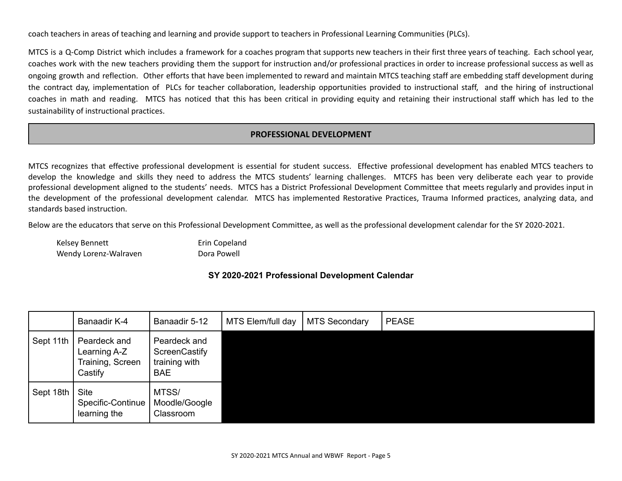coach teachers in areas of teaching and learning and provide support to teachers in Professional Learning Communities (PLCs).

MTCS is a Q-Comp District which includes a framework for a coaches program that supports new teachers in their first three years of teaching. Each school year, coaches work with the new teachers providing them the support for instruction and/or professional practices in order to increase professional success as well as ongoing growth and reflection. Other efforts that have been implemented to reward and maintain MTCS teaching staff are embedding staff development during the contract day, implementation of PLCs for teacher collaboration, leadership opportunities provided to instructional staff, and the hiring of instructional coaches in math and reading. MTCS has noticed that this has been critical in providing equity and retaining their instructional staff which has led to the sustainability of instructional practices.

# **PROFESSIONAL DEVELOPMENT**

MTCS recognizes that effective professional development is essential for student success. Effective professional development has enabled MTCS teachers to develop the knowledge and skills they need to address the MTCS students' learning challenges. MTCFS has been very deliberate each year to provide professional development aligned to the students' needs. MTCS has a District Professional Development Committee that meets regularly and provides input in the development of the professional development calendar. MTCS has implemented Restorative Practices, Trauma Informed practices, analyzing data, and standards based instruction.

Below are the educators that serve on this Professional Development Committee, as well as the professional development calendar for the SY 2020-2021.

Kelsey Bennett **Example 20 Example 20 Frin Copeland** Wendy Lorenz-Walraven **Dora Powell** 

## **SY 2020-2021 Professional Development Calendar**

|           | Banaadir K-4                                                | Banaadir 5-12                                                | MTS Elem/full day | <b>MTS Secondary</b> | <b>PEASE</b> |
|-----------|-------------------------------------------------------------|--------------------------------------------------------------|-------------------|----------------------|--------------|
| Sept 11th | Peardeck and<br>Learning A-Z<br>Training, Screen<br>Castify | Peardeck and<br>ScreenCastify<br>training with<br><b>BAE</b> |                   |                      |              |
| Sept 18th | <b>Site</b><br>Specific-Continue<br>learning the            | MTSS/<br>Moodle/Google<br>Classroom                          |                   |                      |              |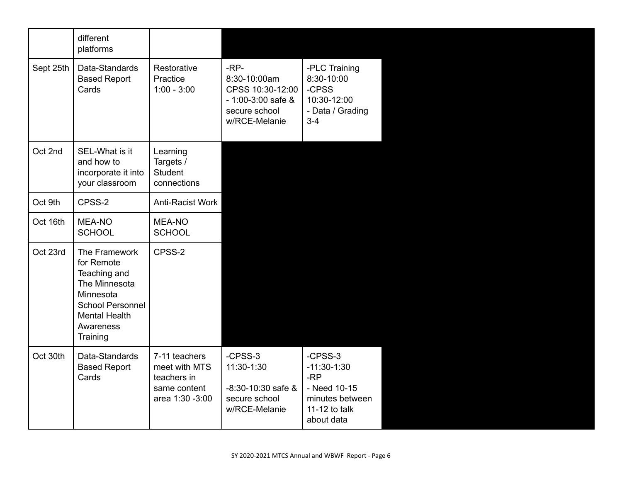|           | different<br>platforms                                                                                                                                |                                                                                  |                                                                                                     |                                                                                                     |
|-----------|-------------------------------------------------------------------------------------------------------------------------------------------------------|----------------------------------------------------------------------------------|-----------------------------------------------------------------------------------------------------|-----------------------------------------------------------------------------------------------------|
| Sept 25th | Data-Standards<br><b>Based Report</b><br>Cards                                                                                                        | Restorative<br>Practice<br>$1:00 - 3:00$                                         | $-RP-$<br>8:30-10:00am<br>CPSS 10:30-12:00<br>$-1:00-3:00$ safe &<br>secure school<br>w/RCE-Melanie | -PLC Training<br>8:30-10:00<br>-CPSS<br>10:30-12:00<br>- Data / Grading<br>$3 - 4$                  |
| Oct 2nd   | SEL-What is it<br>and how to<br>incorporate it into<br>your classroom                                                                                 | Learning<br>Targets /<br>Student<br>connections                                  |                                                                                                     |                                                                                                     |
| Oct 9th   | CPSS-2                                                                                                                                                | Anti-Racist Work                                                                 |                                                                                                     |                                                                                                     |
| Oct 16th  | <b>MEA-NO</b><br><b>SCHOOL</b>                                                                                                                        | MEA-NO<br><b>SCHOOL</b>                                                          |                                                                                                     |                                                                                                     |
| Oct 23rd  | The Framework<br>for Remote<br>Teaching and<br>The Minnesota<br>Minnesota<br><b>School Personnel</b><br><b>Mental Health</b><br>Awareness<br>Training | CPSS-2                                                                           |                                                                                                     |                                                                                                     |
| Oct 30th  | Data-Standards<br><b>Based Report</b><br>Cards                                                                                                        | 7-11 teachers<br>meet with MTS<br>teachers in<br>same content<br>area 1:30 -3:00 | -CPSS-3<br>11:30-1:30<br>-8:30-10:30 safe &<br>secure school<br>w/RCE-Melanie                       | -CPSS-3<br>$-11:30-1:30$<br>$-RP$<br>- Need 10-15<br>minutes between<br>11-12 to talk<br>about data |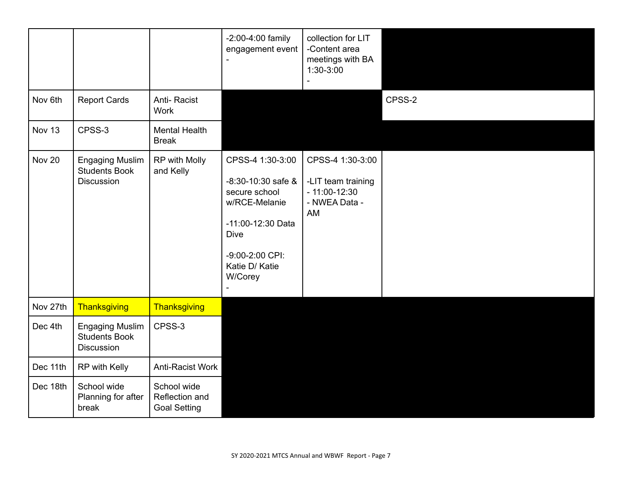|               |                                                              |                                                      | -2:00-4:00 family<br>engagement event                                                                                                                          | collection for LIT<br>-Content area<br>meetings with BA<br>$1:30-3:00$          |        |
|---------------|--------------------------------------------------------------|------------------------------------------------------|----------------------------------------------------------------------------------------------------------------------------------------------------------------|---------------------------------------------------------------------------------|--------|
| Nov 6th       | <b>Report Cards</b>                                          | Anti-Racist<br>Work                                  |                                                                                                                                                                |                                                                                 | CPSS-2 |
| Nov 13        | CPSS-3                                                       | <b>Mental Health</b><br><b>Break</b>                 |                                                                                                                                                                |                                                                                 |        |
| <b>Nov 20</b> | <b>Engaging Muslim</b><br><b>Students Book</b><br>Discussion | RP with Molly<br>and Kelly                           | CPSS-4 1:30-3:00<br>$-8:30-10:30$ safe &<br>secure school<br>w/RCE-Melanie<br>-11:00-12:30 Data<br><b>Dive</b><br>-9:00-2:00 CPI:<br>Katie D/ Katie<br>W/Corey | CPSS-4 1:30-3:00<br>-LIT team training<br>$-11:00-12:30$<br>- NWEA Data -<br>AM |        |
| Nov 27th      | Thanksgiving                                                 | Thanksgiving                                         |                                                                                                                                                                |                                                                                 |        |
| Dec 4th       | <b>Engaging Muslim</b><br><b>Students Book</b><br>Discussion | CPSS-3                                               |                                                                                                                                                                |                                                                                 |        |
| Dec 11th      | RP with Kelly                                                | Anti-Racist Work                                     |                                                                                                                                                                |                                                                                 |        |
| Dec 18th      | School wide<br>Planning for after<br>break                   | School wide<br>Reflection and<br><b>Goal Setting</b> |                                                                                                                                                                |                                                                                 |        |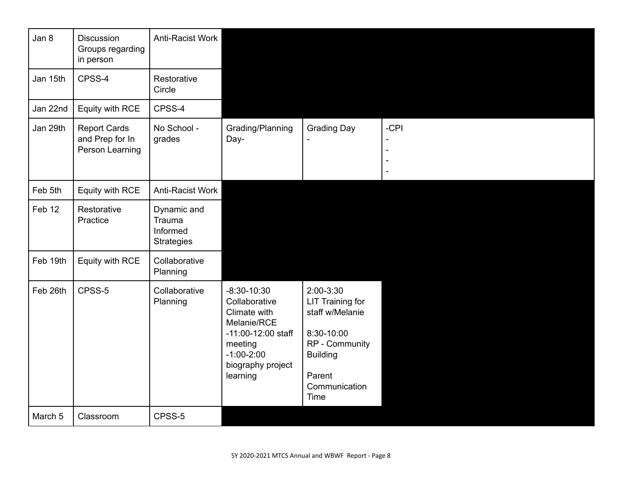| Jan 8    | <b>Discussion</b><br>Groups regarding<br>in person        | Anti-Racist Work                                       |                                                                                                                                                 |                                                                                                                                               |      |
|----------|-----------------------------------------------------------|--------------------------------------------------------|-------------------------------------------------------------------------------------------------------------------------------------------------|-----------------------------------------------------------------------------------------------------------------------------------------------|------|
| Jan 15th | CPSS-4                                                    | Restorative<br>Circle                                  |                                                                                                                                                 |                                                                                                                                               |      |
| Jan 22nd | Equity with RCE                                           | CPSS-4                                                 |                                                                                                                                                 |                                                                                                                                               |      |
| Jan 29th | <b>Report Cards</b><br>and Prep for In<br>Person Learning | No School -<br>grades                                  | Grading/Planning<br>Day-                                                                                                                        | <b>Grading Day</b>                                                                                                                            | -CPI |
| Feb 5th  | Equity with RCE                                           | Anti-Racist Work                                       |                                                                                                                                                 |                                                                                                                                               |      |
| Feb 12   | Restorative<br>Practice                                   | Dynamic and<br>Trauma<br>Informed<br><b>Strategies</b> |                                                                                                                                                 |                                                                                                                                               |      |
| Feb 19th | Equity with RCE                                           | Collaborative<br>Planning                              |                                                                                                                                                 |                                                                                                                                               |      |
| Feb 26th | CPSS-5                                                    | Collaborative<br>Planning                              | $-8:30-10:30$<br>Collaborative<br>Climate with<br>Melanie/RCE<br>-11:00-12:00 staff<br>meeting<br>$-1:00-2:00$<br>biography project<br>learning | 2:00-3:30<br><b>LIT Training for</b><br>staff w/Melanie<br>8:30-10:00<br>RP - Community<br><b>Building</b><br>Parent<br>Communication<br>Time |      |
| March 5  | Classroom                                                 | CPSS-5                                                 |                                                                                                                                                 |                                                                                                                                               |      |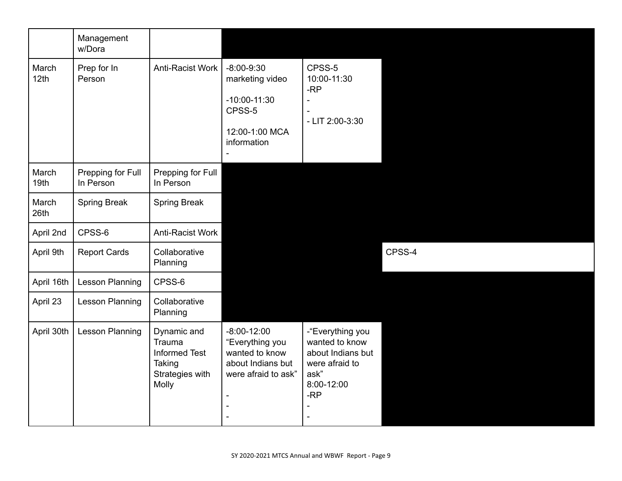|                           | Management<br>w/Dora           |                                                                                     |                                                                                                                  |                                                                                                        |        |
|---------------------------|--------------------------------|-------------------------------------------------------------------------------------|------------------------------------------------------------------------------------------------------------------|--------------------------------------------------------------------------------------------------------|--------|
| March<br>12th             | Prep for In<br>Person          | Anti-Racist Work                                                                    | $-8:00-9:30$<br>marketing video<br>$-10:00-11:30$<br>CPSS-5<br>12:00-1:00 MCA<br>information                     | CPSS-5<br>10:00-11:30<br>$-RP$<br>- LIT 2:00-3:30                                                      |        |
| March<br>19 <sub>th</sub> | Prepping for Full<br>In Person | Prepping for Full<br>In Person                                                      |                                                                                                                  |                                                                                                        |        |
| March<br>26th             | Spring Break                   | <b>Spring Break</b>                                                                 |                                                                                                                  |                                                                                                        |        |
| April 2nd                 | CPSS-6                         | Anti-Racist Work                                                                    |                                                                                                                  |                                                                                                        |        |
| April 9th                 | <b>Report Cards</b>            | Collaborative<br>Planning                                                           |                                                                                                                  |                                                                                                        | CPSS-4 |
| April 16th                | <b>Lesson Planning</b>         | CPSS-6                                                                              |                                                                                                                  |                                                                                                        |        |
| April 23                  | Lesson Planning                | Collaborative<br>Planning                                                           |                                                                                                                  |                                                                                                        |        |
| April 30th                | <b>Lesson Planning</b>         | Dynamic and<br>Trauma<br><b>Informed Test</b><br>Taking<br>Strategies with<br>Molly | $-8:00-12:00$<br>"Everything you<br>wanted to know<br>about Indians but<br>were afraid to ask"<br>$\blacksquare$ | -"Everything you<br>wanted to know<br>about Indians but<br>were afraid to<br>ask"<br>8:00-12:00<br>-RP |        |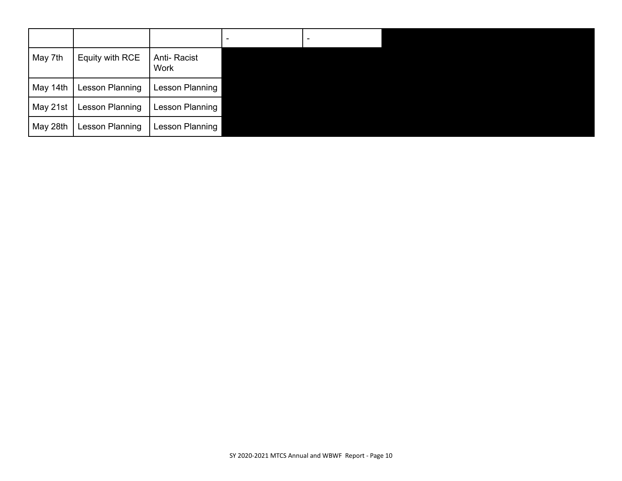|          |                        |                     | $\overline{\phantom{a}}$ |  |
|----------|------------------------|---------------------|--------------------------|--|
| May 7th  | Equity with RCE        | Anti-Racist<br>Work |                          |  |
| May 14th | Lesson Planning        | Lesson Planning     |                          |  |
| May 21st | <b>Lesson Planning</b> | Lesson Planning     |                          |  |
| May 28th | Lesson Planning        | Lesson Planning     |                          |  |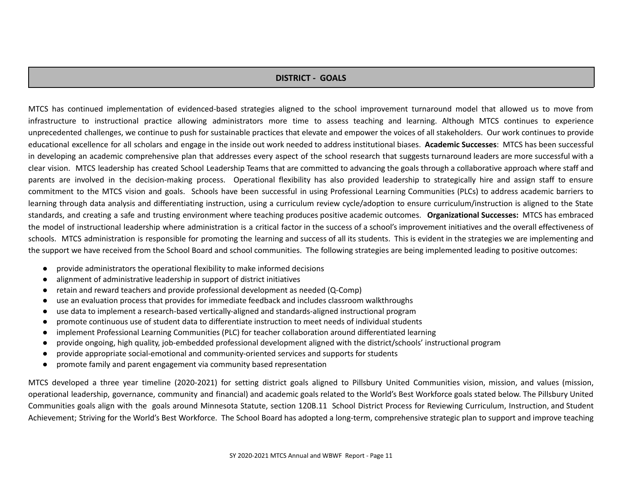## **DISTRICT - GOALS**

MTCS has continued implementation of evidenced-based strategies aligned to the school improvement turnaround model that allowed us to move from infrastructure to instructional practice allowing administrators more time to assess teaching and learning. Although MTCS continues to experience unprecedented challenges, we continue to push for sustainable practices that elevate and empower the voices of all stakeholders. Our work continues to provide educational excellence for all scholars and engage in the inside out work needed to address institutional biases. **Academic Successes**: MTCS has been successful in developing an academic comprehensive plan that addresses every aspect of the school research that suggests turnaround leaders are more successful with a clear vision. MTCS leadership has created School Leadership Teams that are committed to advancing the goals through a collaborative approach where staff and parents are involved in the decision-making process. Operational flexibility has also provided leadership to strategically hire and assign staff to ensure commitment to the MTCS vision and goals. Schools have been successful in using Professional Learning Communities (PLCs) to address academic barriers to learning through data analysis and differentiating instruction, using a curriculum review cycle/adoption to ensure curriculum/instruction is aligned to the State standards, and creating a safe and trusting environment where teaching produces positive academic outcomes. **Organizational Successes:** MTCS has embraced the model of instructional leadership where administration is a critical factor in the success of a school's improvement initiatives and the overall effectiveness of schools. MTCS administration is responsible for promoting the learning and success of all its students. This is evident in the strategies we are implementing and the support we have received from the School Board and school communities. The following strategies are being implemented leading to positive outcomes:

- provide administrators the operational flexibility to make informed decisions
- alignment of administrative leadership in support of district initiatives
- retain and reward teachers and provide professional development as needed (Q-Comp)
- use an evaluation process that provides for immediate feedback and includes classroom walkthroughs
- use data to implement a research-based vertically-aligned and standards-aligned instructional program
- promote continuous use of student data to differentiate instruction to meet needs of individual students
- implement Professional Learning Communities (PLC) for teacher collaboration around differentiated learning
- provide ongoing, high quality, job-embedded professional development aligned with the district/schools' instructional program
- provide appropriate social-emotional and community-oriented services and supports for students
- promote family and parent engagement via community based representation

MTCS developed a three year timeline (2020-2021) for setting district goals aligned to Pillsbury United Communities vision, mission, and values (mission, operational leadership, governance, community and financial) and academic goals related to the World's Best Workforce goals stated below. The Pillsbury United Communities goals align with the goals around Minnesota Statute, section 120B.11 School District Process for Reviewing Curriculum, Instruction, and Student Achievement; Striving for the World's Best Workforce. The School Board has adopted a long-term, comprehensive strategic plan to support and improve teaching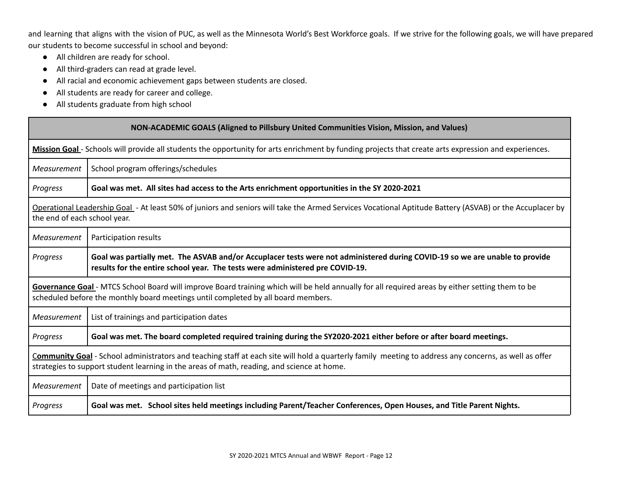and learning that aligns with the vision of PUC, as well as the Minnesota World's Best Workforce goals. If we strive for the following goals, we will have prepared our students to become successful in school and beyond:

- All children are ready for school.
- All third-graders can read at grade level.
- All racial and economic achievement gaps between students are closed.
- All students are ready for career and college.
- All students graduate from high school

|                    | <b>NON-ACADEMIC GOALS (Aligned to Pillsbury United Communities Vision, Mission, and Values)</b>                                                                                                                                                     |  |  |  |  |  |  |
|--------------------|-----------------------------------------------------------------------------------------------------------------------------------------------------------------------------------------------------------------------------------------------------|--|--|--|--|--|--|
|                    | Mission Goal - Schools will provide all students the opportunity for arts enrichment by funding projects that create arts expression and experiences.                                                                                               |  |  |  |  |  |  |
| <b>Measurement</b> | School program offerings/schedules                                                                                                                                                                                                                  |  |  |  |  |  |  |
| Progress           | Goal was met. All sites had access to the Arts enrichment opportunities in the SY 2020-2021                                                                                                                                                         |  |  |  |  |  |  |
|                    | Operational Leadership Goal - At least 50% of juniors and seniors will take the Armed Services Vocational Aptitude Battery (ASVAB) or the Accuplacer by<br>the end of each school year.                                                             |  |  |  |  |  |  |
| Measurement        | Participation results                                                                                                                                                                                                                               |  |  |  |  |  |  |
| Progress           | Goal was partially met. The ASVAB and/or Accuplacer tests were not administered during COVID-19 so we are unable to provide<br>results for the entire school year. The tests were administered pre COVID-19.                                        |  |  |  |  |  |  |
|                    | Governance Goal - MTCS School Board will improve Board training which will be held annually for all required areas by either setting them to be<br>scheduled before the monthly board meetings until completed by all board members.                |  |  |  |  |  |  |
| Measurement        | List of trainings and participation dates                                                                                                                                                                                                           |  |  |  |  |  |  |
| Progress           | Goal was met. The board completed required training during the SY2020-2021 either before or after board meetings.                                                                                                                                   |  |  |  |  |  |  |
|                    | Community Goal - School administrators and teaching staff at each site will hold a quarterly family meeting to address any concerns, as well as offer<br>strategies to support student learning in the areas of math, reading, and science at home. |  |  |  |  |  |  |
| Measurement        | Date of meetings and participation list                                                                                                                                                                                                             |  |  |  |  |  |  |
| Progress           | Goal was met. School sites held meetings including Parent/Teacher Conferences, Open Houses, and Title Parent Nights.                                                                                                                                |  |  |  |  |  |  |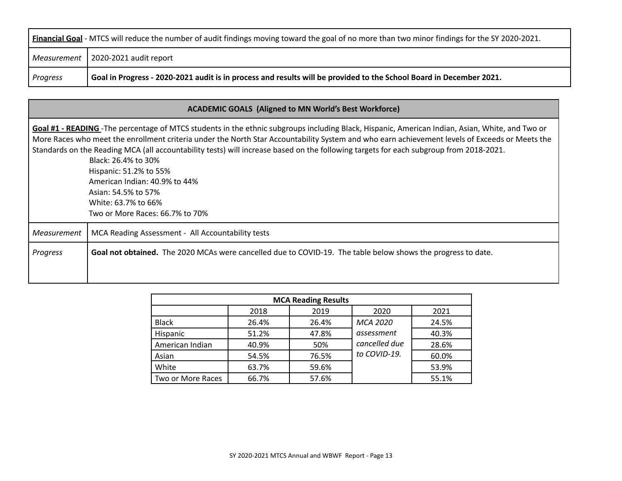| <b>Financial Goal</b> - MTCS will reduce the number of audit findings moving toward the goal of no more than two minor findings for the SY 2020-2021. |                                                                                                                     |  |  |  |  |  |
|-------------------------------------------------------------------------------------------------------------------------------------------------------|---------------------------------------------------------------------------------------------------------------------|--|--|--|--|--|
|                                                                                                                                                       | Measurement   2020-2021 audit report                                                                                |  |  |  |  |  |
| <b>Progress</b>                                                                                                                                       | Goal in Progress - 2020-2021 audit is in process and results will be provided to the School Board in December 2021. |  |  |  |  |  |

|             | <b>ACADEMIC GOALS (Aligned to MN World's Best Workforce)</b>                                                                                                                                                                                                                                                                                                                                                                                                                                                                                                                                                    |
|-------------|-----------------------------------------------------------------------------------------------------------------------------------------------------------------------------------------------------------------------------------------------------------------------------------------------------------------------------------------------------------------------------------------------------------------------------------------------------------------------------------------------------------------------------------------------------------------------------------------------------------------|
|             | Goal #1 - READING - The percentage of MTCS students in the ethnic subgroups including Black, Hispanic, American Indian, Asian, White, and Two or<br>More Races who meet the enrollment criteria under the North Star Accountability System and who earn achievement levels of Exceeds or Meets the<br>Standards on the Reading MCA (all accountability tests) will increase based on the following targets for each subgroup from 2018-2021.<br>Black: 26.4% to 30%<br>Hispanic: 51.2% to 55%<br>American Indian: 40.9% to 44%<br>Asian: 54.5% to 57%<br>White: 63.7% to 66%<br>Two or More Races: 66.7% to 70% |
| Measurement | MCA Reading Assessment - All Accountability tests                                                                                                                                                                                                                                                                                                                                                                                                                                                                                                                                                               |
| Progress    | Goal not obtained. The 2020 MCAs were cancelled due to COVID-19. The table below shows the progress to date.                                                                                                                                                                                                                                                                                                                                                                                                                                                                                                    |

| <b>MCA Reading Results</b>   |       |       |                 |       |  |  |  |
|------------------------------|-------|-------|-----------------|-------|--|--|--|
| 2019<br>2018<br>2021<br>2020 |       |       |                 |       |  |  |  |
| <b>Black</b>                 | 26.4% | 26.4% | <b>MCA 2020</b> | 24.5% |  |  |  |
| Hispanic                     | 51.2% | 47.8% | assessment      | 40.3% |  |  |  |
| American Indian              | 40.9% | 50%   | cancelled due   | 28.6% |  |  |  |
| Asian                        | 54.5% | 76.5% | to COVID-19.    | 60.0% |  |  |  |
| White                        | 63.7% | 59.6% |                 | 53.9% |  |  |  |
| Two or More Races            | 66.7% | 57.6% |                 | 55.1% |  |  |  |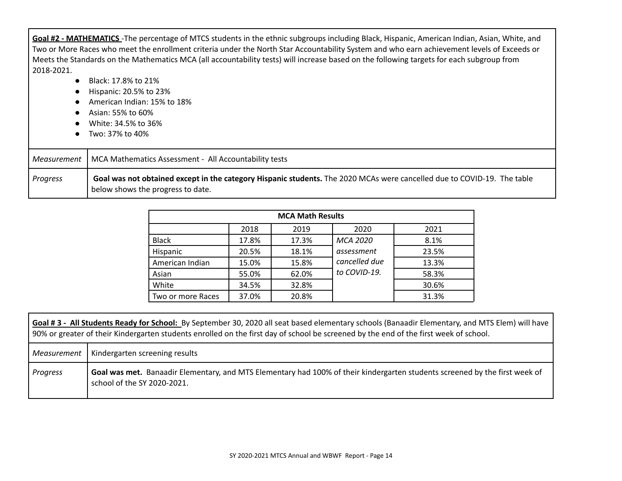**Goal #2 - MATHEMATICS** -The percentage of MTCS students in the ethnic subgroups including Black, Hispanic, American Indian, Asian, White, and Two or More Races who meet the enrollment criteria under the North Star Accountability System and who earn achievement levels of Exceeds or Meets the Standards on the Mathematics MCA (all accountability tests) will increase based on the following targets for each subgroup from 2018-2021.

- Black: 17.8% to 21%
- Hispanic: 20.5% to 23%
- American Indian: 15% to 18%
- Asian: 55% to 60%
- White: 34.5% to 36%
- Two: 37% to 40%

|          | Measurement   MCA Mathematics Assessment - All Accountability tests                                                                                          |
|----------|--------------------------------------------------------------------------------------------------------------------------------------------------------------|
| Progress | Goal was not obtained except in the category Hispanic students. The 2020 MCAs were cancelled due to COVID-19. The table<br>below shows the progress to date. |

| <b>MCA Math Results</b> |       |       |               |       |  |  |  |  |
|-------------------------|-------|-------|---------------|-------|--|--|--|--|
|                         | 2018  | 2019  | 2020          | 2021  |  |  |  |  |
| <b>Black</b>            | 17.8% | 17.3% | MCA 2020      | 8.1%  |  |  |  |  |
| Hispanic                | 20.5% | 18.1% | assessment    | 23.5% |  |  |  |  |
| American Indian         | 15.0% | 15.8% | cancelled due | 13.3% |  |  |  |  |
| Asian                   | 55.0% | 62.0% | to COVID-19.  | 58.3% |  |  |  |  |
| White                   | 34.5% | 32.8% |               | 30.6% |  |  |  |  |
| Two or more Races       | 37.0% | 20.8% |               | 31.3% |  |  |  |  |

|             | Goal #3 - All Students Ready for School: By September 30, 2020 all seat based elementary schools (Banaadir Elementary, and MTS Elem) will have<br>90% or greater of their Kindergarten students enrolled on the first day of school be screened by the end of the first week of school. |  |  |  |  |  |
|-------------|-----------------------------------------------------------------------------------------------------------------------------------------------------------------------------------------------------------------------------------------------------------------------------------------|--|--|--|--|--|
| Measurement | Kindergarten screening results                                                                                                                                                                                                                                                          |  |  |  |  |  |
| Progress    | Goal was met. Banaadir Elementary, and MTS Elementary had 100% of their kindergarten students screened by the first week of<br>school of the SY 2020-2021.                                                                                                                              |  |  |  |  |  |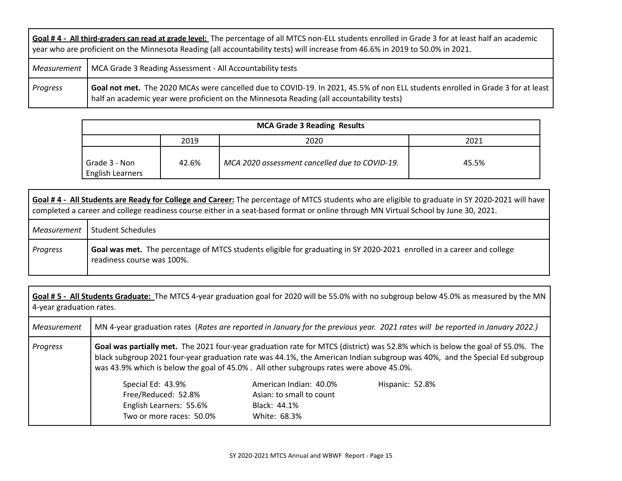|                 | Goal #4 - All third-graders can read at grade level: The percentage of all MTCS non-ELL students enrolled in Grade 3 for at least half an academic<br>year who are proficient on the Minnesota Reading (all accountability tests) will increase from 46.6% in 2019 to 50.0% in 2021. |  |  |  |  |  |
|-----------------|--------------------------------------------------------------------------------------------------------------------------------------------------------------------------------------------------------------------------------------------------------------------------------------|--|--|--|--|--|
|                 | Measurement   MCA Grade 3 Reading Assessment - All Accountability tests                                                                                                                                                                                                              |  |  |  |  |  |
| <b>Progress</b> | Goal not met. The 2020 MCAs were cancelled due to COVID-19. In 2021, 45.5% of non ELL students enrolled in Grade 3 for at least<br>half an academic year were proficient on the Minnesota Reading (all accountability tests)                                                         |  |  |  |  |  |

| <b>MCA Grade 3 Reading Results</b>       |       |                                                |       |  |  |  |  |
|------------------------------------------|-------|------------------------------------------------|-------|--|--|--|--|
| 2019<br>2020<br>2021                     |       |                                                |       |  |  |  |  |
| Grade 3 - Non<br><b>English Learners</b> | 42.6% | MCA 2020 assessment cancelled due to COVID-19. | 45.5% |  |  |  |  |

|          | Goal #4 - All Students are Ready for College and Career: The percentage of MTCS students who are eligible to graduate in SY 2020-2021 will have<br>completed a career and college readiness course either in a seat-based format or online through MN Virtual School by June 30, 2021. |  |  |  |  |  |  |
|----------|----------------------------------------------------------------------------------------------------------------------------------------------------------------------------------------------------------------------------------------------------------------------------------------|--|--|--|--|--|--|
|          | Measurement   Student Schedules                                                                                                                                                                                                                                                        |  |  |  |  |  |  |
| Progress | Goal was met. The percentage of MTCS students eligible for graduating in SY 2020-2021 enrolled in a career and college<br>readiness course was 100%.                                                                                                                                   |  |  |  |  |  |  |

| 4-year graduation rates. |                                                                                                                                                                                                                                                                                                                                                         |                                                                                    | Goal #5 - All Students Graduate: The MTCS 4-year graduation goal for 2020 will be 55.0% with no subgroup below 45.0% as measured by the MN |  |  |  |  |
|--------------------------|---------------------------------------------------------------------------------------------------------------------------------------------------------------------------------------------------------------------------------------------------------------------------------------------------------------------------------------------------------|------------------------------------------------------------------------------------|--------------------------------------------------------------------------------------------------------------------------------------------|--|--|--|--|
| Measurement              | MN 4-year graduation rates (Rates are reported in January for the previous year. 2021 rates will be reported in January 2022.)                                                                                                                                                                                                                          |                                                                                    |                                                                                                                                            |  |  |  |  |
| Progress                 | Goal was partially met. The 2021 four-year graduation rate for MTCS (district) was 52.8% which is below the goal of 55.0%. The<br>black subgroup 2021 four-year graduation rate was 44.1%, the American Indian subgroup was 40%, and the Special Ed subgroup<br>was 43.9% which is below the goal of 45.0%. All other subgroups rates were above 45.0%. |                                                                                    |                                                                                                                                            |  |  |  |  |
|                          | Special Ed: 43.9%<br>Free/Reduced: 52.8%<br>English Learners: 55.6%<br>Two or more races: 50.0%                                                                                                                                                                                                                                                         | American Indian: 40.0%<br>Asian: to small to count<br>Black: 44.1%<br>White: 68.3% | Hispanic: 52.8%                                                                                                                            |  |  |  |  |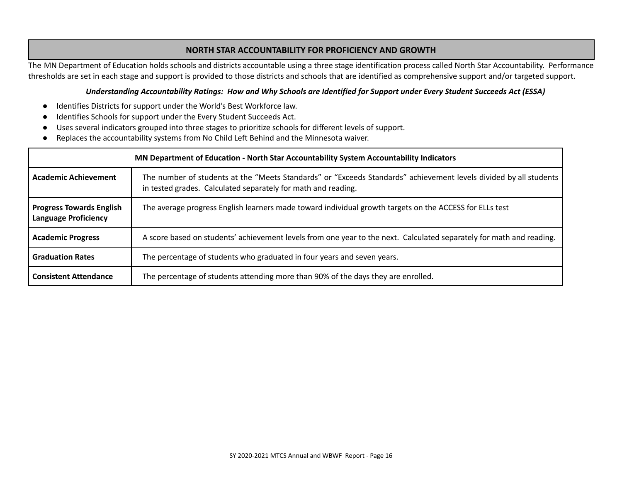# **NORTH STAR ACCOUNTABILITY FOR PROFICIENCY AND GROWTH**

The MN Department of Education holds schools and districts accountable using a three stage identification process called North Star Accountability. Performance thresholds are set in each stage and support is provided to those districts and schools that are identified as comprehensive support and/or targeted support.

#### Understanding Accountability Ratings: How and Why Schools are Identified for Support under Every Student Succeeds Act (ESSA)

- Identifies Districts for support under the World's Best Workforce law.
- Identifies Schools for support under the Every Student Succeeds Act.
- Uses several indicators grouped into three stages to prioritize schools for different levels of support.
- Replaces the accountability systems from No Child Left Behind and the Minnesota waiver.

| MN Department of Education - North Star Accountability System Accountability Indicators |                                                                                                                                                                                    |  |  |  |  |  |  |
|-----------------------------------------------------------------------------------------|------------------------------------------------------------------------------------------------------------------------------------------------------------------------------------|--|--|--|--|--|--|
| <b>Academic Achievement</b>                                                             | The number of students at the "Meets Standards" or "Exceeds Standards" achievement levels divided by all students<br>in tested grades. Calculated separately for math and reading. |  |  |  |  |  |  |
| <b>Progress Towards English</b><br><b>Language Proficiency</b>                          | The average progress English learners made toward individual growth targets on the ACCESS for ELLs test                                                                            |  |  |  |  |  |  |
| <b>Academic Progress</b>                                                                | A score based on students' achievement levels from one year to the next. Calculated separately for math and reading.                                                               |  |  |  |  |  |  |
| <b>Graduation Rates</b>                                                                 | The percentage of students who graduated in four years and seven years.                                                                                                            |  |  |  |  |  |  |
| <b>Consistent Attendance</b>                                                            | The percentage of students attending more than 90% of the days they are enrolled.                                                                                                  |  |  |  |  |  |  |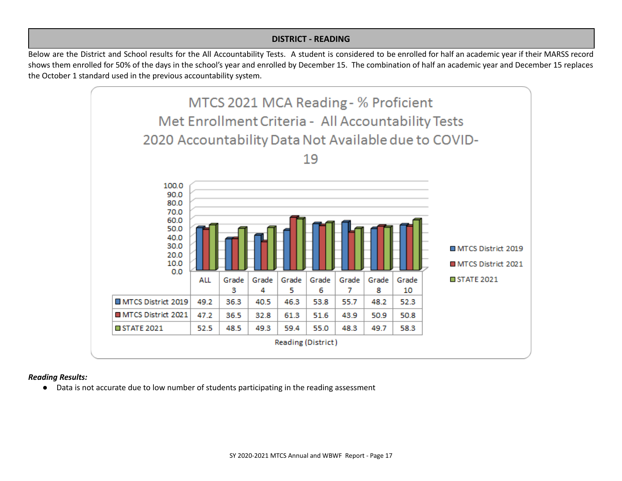## **DISTRICT - READING**

Below are the District and School results for the All Accountability Tests. A student is considered to be enrolled for half an academic year if their MARSS record shows them enrolled for 50% of the days in the school's year and enrolled by December 15. The combination of half an academic year and December 15 replaces the October 1 standard used in the previous accountability system.



#### *Reading Results:*

● Data is not accurate due to low number of students participating in the reading assessment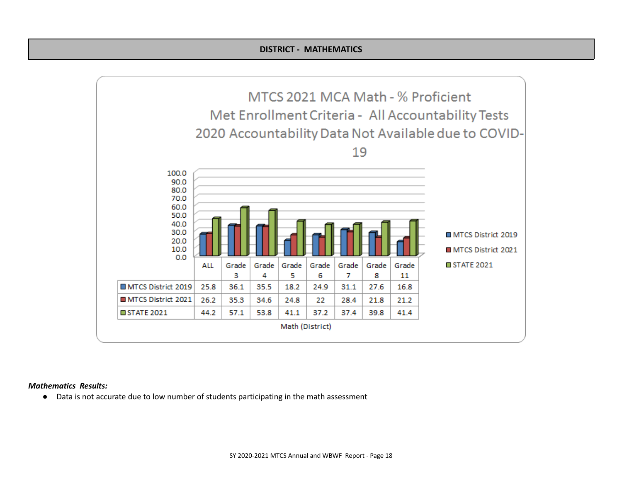

#### *Mathematics Results:*

● Data is not accurate due to low number of students participating in the math assessment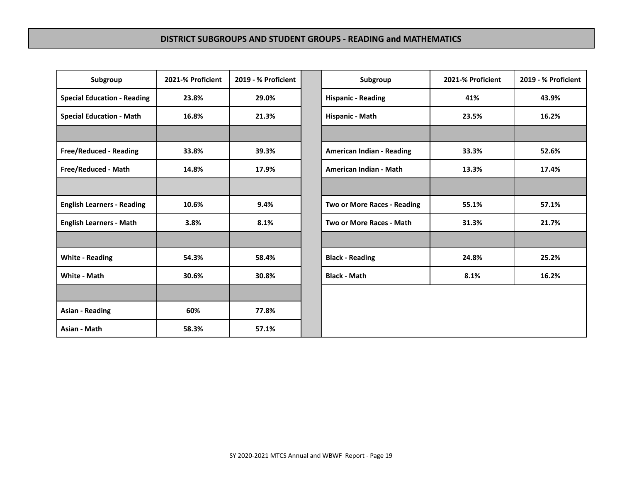| Subgroup                           | 2021-% Proficient | 2019 - % Proficient | Subgroup                         | 2021-% Proficient | 2019 - % Prof |
|------------------------------------|-------------------|---------------------|----------------------------------|-------------------|---------------|
| <b>Special Education - Reading</b> | 23.8%             | 29.0%               | <b>Hispanic - Reading</b>        | 41%               | 43.9%         |
| <b>Special Education - Math</b>    | 16.8%             | 21.3%               | Hispanic - Math                  | 23.5%             | 16.2%         |
|                                    |                   |                     |                                  |                   |               |
| <b>Free/Reduced - Reading</b>      | 33.8%             | 39.3%               | <b>American Indian - Reading</b> | 33.3%             | 52.6%         |
| Free/Reduced - Math                | 14.8%             | 17.9%               | American Indian - Math           | 13.3%             | 17.4%         |
|                                    |                   |                     |                                  |                   |               |
| <b>English Learners - Reading</b>  | 10.6%             | 9.4%                | Two or More Races - Reading      | 55.1%             | 57.1%         |
| <b>English Learners - Math</b>     | 3.8%              | 8.1%                | Two or More Races - Math         | 31.3%             | 21.7%         |
|                                    |                   |                     |                                  |                   |               |
| <b>White - Reading</b>             | 54.3%             | 58.4%               | <b>Black - Reading</b>           | 24.8%             | 25.2%         |
| White - Math                       | 30.6%             | 30.8%               | <b>Black - Math</b>              | 8.1%              | 16.2%         |
|                                    |                   |                     |                                  |                   |               |
| <b>Asian - Reading</b>             | 60%               | 77.8%               |                                  |                   |               |
| Asian - Math                       | 58.3%             | 57.1%               |                                  |                   |               |

| Subgroup           | 2021-% Proficient | 2019 - % Proficient | Subgroup                         | 2021-% Proficient | 2019 - % Proficient |
|--------------------|-------------------|---------------------|----------------------------------|-------------------|---------------------|
| ducation - Reading | 23.8%             | 29.0%               | <b>Hispanic - Reading</b>        | 41%               | 43.9%               |
| ducation - Math    | 16.8%             | 21.3%               | Hispanic - Math                  | 23.5%             | 16.2%               |
|                    |                   |                     |                                  |                   |                     |
| uced - Reading     | 33.8%             | 39.3%               | <b>American Indian - Reading</b> | 33.3%             | 52.6%               |
| uced - Math        | 14.8%             | 17.9%               | American Indian - Math           | 13.3%             | 17.4%               |
|                    |                   |                     |                                  |                   |                     |
| arners - Reading   | 10.6%             | 9.4%                | Two or More Races - Reading      | 55.1%             | 57.1%               |
| earners - Math     | 3.8%              | 8.1%                | Two or More Races - Math         | 31.3%             | 21.7%               |
|                    |                   |                     |                                  |                   |                     |
| eading             | 54.3%             | 58.4%               | <b>Black - Reading</b>           | 24.8%             | 25.2%               |
| 1ath               | 30.6%             | 30.8%               | <b>Black - Math</b>              | 8.1%              | 16.2%               |
|                    |                   |                     |                                  |                   |                     |
| ading              | 60%               | 77.8%               |                                  |                   |                     |
| ath                | 58.3%             | 57.1%               |                                  |                   |                     |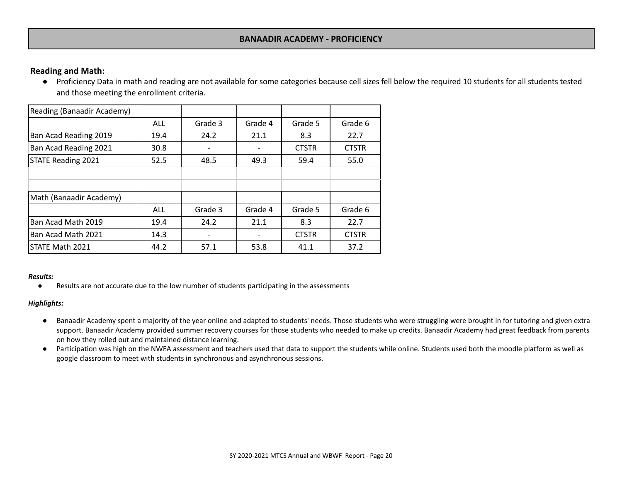### **BANAADIR ACADEMY - PROFICIENCY**

# **Reading and Math:**

● Proficiency Data in math and reading are not available for some categories because cell sizes fell below the required 10 students for all students tested and those meeting the enrollment criteria.

| Reading (Banaadir Academy) |            |         |         |              |              |
|----------------------------|------------|---------|---------|--------------|--------------|
|                            | <b>ALL</b> | Grade 3 | Grade 4 | Grade 5      | Grade 6      |
| Ban Acad Reading 2019      | 19.4       | 24.2    | 21.1    | 8.3          | 22.7         |
| Ban Acad Reading 2021      | 30.8       |         |         | <b>CTSTR</b> | <b>CTSTR</b> |
| <b>STATE Reading 2021</b>  | 52.5       | 48.5    | 49.3    | 59.4         | 55.0         |
|                            |            |         |         |              |              |
|                            |            |         |         |              |              |
| Math (Banaadir Academy)    |            |         |         |              |              |
|                            | ALL        | Grade 3 | Grade 4 | Grade 5      | Grade 6      |
| Ban Acad Math 2019         | 19.4       | 24.2    | 21.1    | 8.3          | 22.7         |
| Ban Acad Math 2021         | 14.3       | -       |         | <b>CTSTR</b> | <b>CTSTR</b> |
| STATE Math 2021            | 44.2       | 57.1    | 53.8    | 41.1         | 37.2         |

#### *Results:*

● Results are not accurate due to the low number of students participating in the assessments

#### *Highlights:*

- Banaadir Academy spent a majority of the year online and adapted to students' needs. Those students who were struggling were brought in for tutoring and given extra support. Banaadir Academy provided summer recovery courses for those students who needed to make up credits. Banaadir Academy had great feedback from parents on how they rolled out and maintained distance learning.
- Participation was high on the NWEA assessment and teachers used that data to support the students while online. Students used both the moodle platform as well as google classroom to meet with students in synchronous and asynchronous sessions.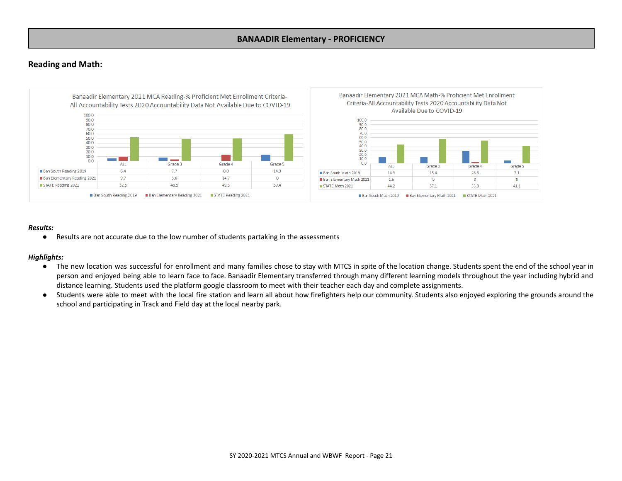### **BANAADIR Elementary - PROFICIENCY**

## **Reading and Math:**



#### *Results:*

● Results are not accurate due to the low number of students partaking in the assessments

#### *Highlights:*

- The new location was successful for enrollment and many families chose to stay with MTCS in spite of the location change. Students spent the end of the school year in person and enjoyed being able to learn face to face. Banaadir Elementary transferred through many different learning models throughout the year including hybrid and distance learning. Students used the platform google classroom to meet with their teacher each day and complete assignments.
- Students were able to meet with the local fire station and learn all about how firefighters help our community. Students also enjoyed exploring the grounds around the school and participating in Track and Field day at the local nearby park.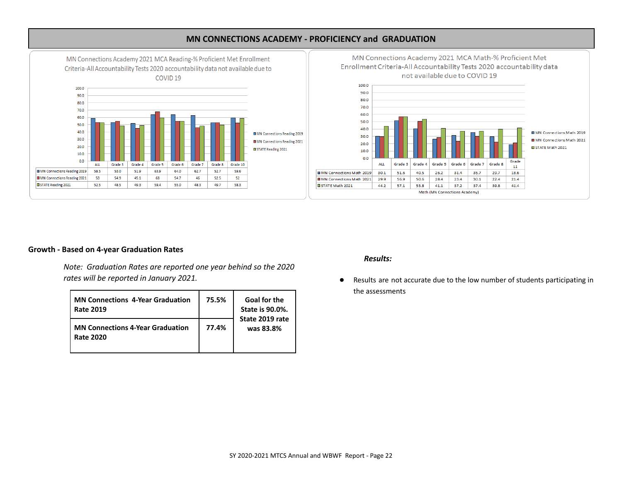

# **MN CONNECTIONS ACADEMY - PROFICIENCY and GRADUATION**



#### **Growth - Based on 4-year Graduation Rates**

*Note: Graduation Rates are reported one year behind so the 2020 rates will be reported in January 2021.*

| <b>MN Connections 4-Year Graduation</b><br><b>Rate 2019</b> | 75.5% | <b>Goal for the</b><br><b>State is 90.0%.</b> |
|-------------------------------------------------------------|-------|-----------------------------------------------|
| <b>MN Connections 4-Year Graduation</b><br><b>Rate 2020</b> | 77.4% | State 2019 rate<br>was 83.8%                  |

#### *Results:*

● Results are not accurate due to the low number of students participating in the assessments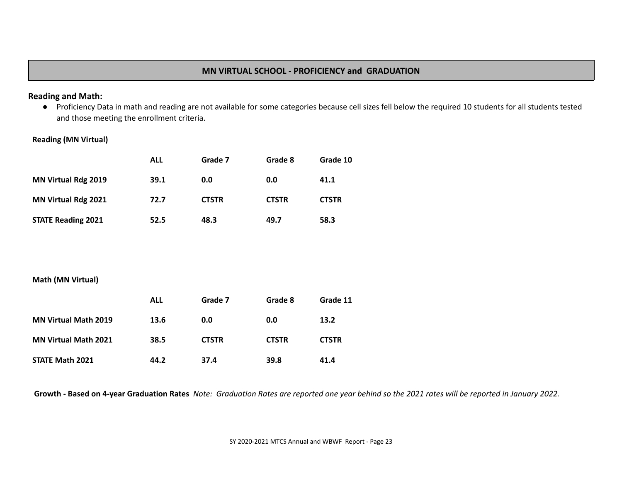# **MN VIRTUAL SCHOOL - PROFICIENCY and GRADUATION**

## **Reading and Math:**

● Proficiency Data in math and reading are not available for some categories because cell sizes fell below the required 10 students for all students tested and those meeting the enrollment criteria.

# **Reading (MN Virtual)**

|                            | ALL  | Grade 7      | Grade 8      | Grade 10     |
|----------------------------|------|--------------|--------------|--------------|
| <b>MN Virtual Rdg 2019</b> | 39.1 | 0.0          | 0.0          | 41.1         |
| <b>MN Virtual Rdg 2021</b> | 72.7 | <b>CTSTR</b> | <b>CTSTR</b> | <b>CTSTR</b> |
| <b>STATE Reading 2021</b>  | 52.5 | 48.3         | 49.7         | 58.3         |

## **Math (MN Virtual)**

|                             | ALL  | Grade 7      | Grade 8      | Grade 11     |
|-----------------------------|------|--------------|--------------|--------------|
| <b>MN Virtual Math 2019</b> | 13.6 | 0.0          | 0.0          | 13.2         |
| <b>MN Virtual Math 2021</b> | 38.5 | <b>CTSTR</b> | <b>CTSTR</b> | <b>CTSTR</b> |
| <b>STATE Math 2021</b>      | 44.2 | 37.4         | 39.8         | 41.4         |

Growth - Based on 4-year Graduation Rates Note: Graduation Rates are reported one year behind so the 2021 rates will be reported in January 2022.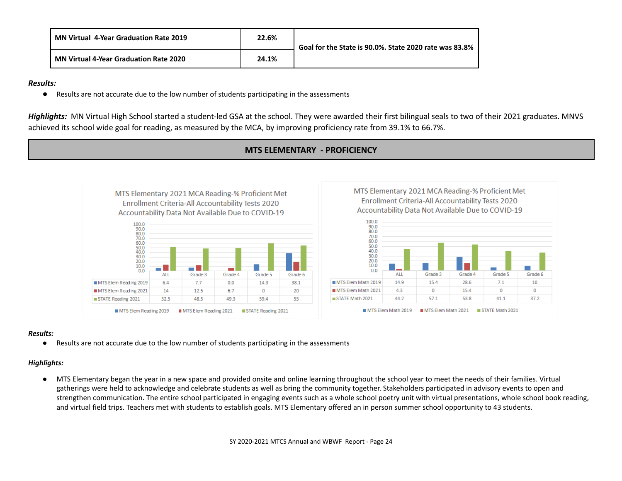| <b>MN Virtual 4-Year Graduation Rate 2019</b> | 22.6% | Goal for the State is 90.0%. State 2020 rate was 83.8% |
|-----------------------------------------------|-------|--------------------------------------------------------|
| <b>MN Virtual 4-Year Graduation Rate 2020</b> | 24.1% |                                                        |

#### *Results:*

● Results are not accurate due to the low number of students participating in the assessments

*Highlights:* MN Virtual High School started a student-led GSA at the school. They were awarded their first bilingual seals to two of their 2021 graduates. MNVS achieved its school wide goal for reading, as measured by the MCA, by improving proficiency rate from 39.1% to 66.7%.

**MTS ELEMENTARY - PROFICIENCY**



### *Results:*

● Results are not accurate due to the low number of students participating in the assessments

#### *Highlights:*

● MTS Elementary began the year in a new space and provided onsite and online learning throughout the school year to meet the needs of their families. Virtual gatherings were held to acknowledge and celebrate students as well as bring the community together. Stakeholders participated in advisory events to open and strengthen communication. The entire school participated in engaging events such as a whole school poetry unit with virtual presentations, whole school book reading, and virtual field trips. Teachers met with students to establish goals. MTS Elementary offered an in person summer school opportunity to 43 students.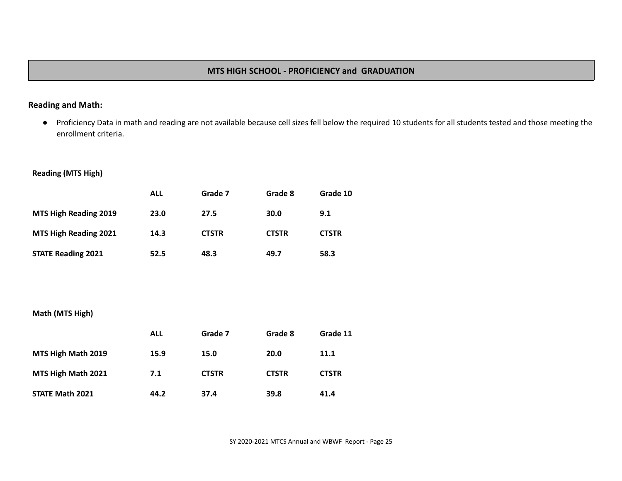# **MTS HIGH SCHOOL - PROFICIENCY and GRADUATION**

# **Reading and Math:**

● Proficiency Data in math and reading are not available because cell sizes fell below the required 10 students for all students tested and those meeting the enrollment criteria.

# **Reading (MTS High)**

|                              | ALL  | Grade 7      | Grade 8      | Grade 10     |
|------------------------------|------|--------------|--------------|--------------|
| MTS High Reading 2019        | 23.0 | 27.5         | 30.0         | 9.1          |
| <b>MTS High Reading 2021</b> | 14.3 | <b>CTSTR</b> | <b>CTSTR</b> | <b>CTSTR</b> |
| <b>STATE Reading 2021</b>    | 52.5 | 48.3         | 49.7         | 58.3         |

# **Math (MTS High)**

|                        | ALL  | Grade 7      | Grade 8      | Grade 11     |
|------------------------|------|--------------|--------------|--------------|
| MTS High Math 2019     | 15.9 | 15.0         | 20.0         | <b>11.1</b>  |
| MTS High Math 2021     | 7.1  | <b>CTSTR</b> | <b>CTSTR</b> | <b>CTSTR</b> |
| <b>STATE Math 2021</b> | 44.2 | 37.4         | 39.8         | 41.4         |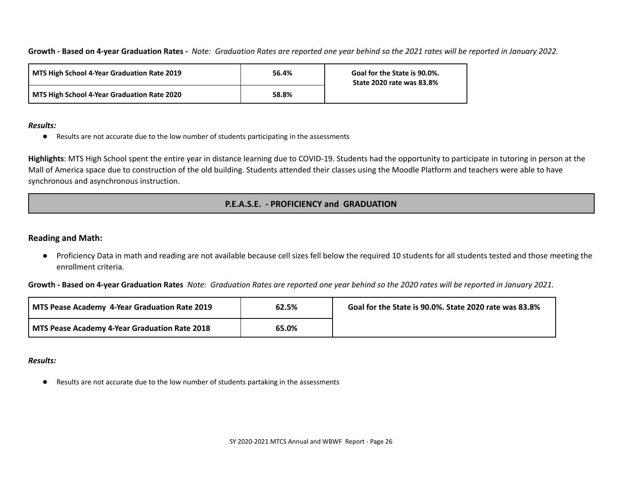Growth - Based on 4-year Graduation Rates - Note: Graduation Rates are reported one year behind so the 2021 rates will be reported in January 2022.

| MTS High School 4-Year Graduation Rate 2019 | 56.4% | Goal for the State is 90.0%.<br><b>State 2020 rate was 83.8%</b> |
|---------------------------------------------|-------|------------------------------------------------------------------|
| MTS High School 4-Year Graduation Rate 2020 | 58.8% |                                                                  |

### *Results:*

● Results are not accurate due to the low number of students participating in the assessments

**Highlights**: MTS High School spent the entire year in distance learning due to COVID-19. Students had the opportunity to participate in tutoring in person at the Mall of America space due to construction of the old building. Students attended their classes using the Moodle Platform and teachers were able to have synchronous and asynchronous instruction.

# **P.E.A.S.E. - PROFICIENCY and GRADUATION**

# **Reading and Math:**

● Proficiency Data in math and reading are not available because cell sizes fell below the required 10 students for all students tested and those meeting the enrollment criteria.

Growth - Based on 4-year Graduation Rates Note: Graduation Rates are reported one year behind so the 2020 rates will be reported in January 2021.

| I MTS Pease Academy 4-Year Graduation Rate 2019 | 62.5% | Goal for the State is 90.0%. State 2020 rate was 83.8% |
|-------------------------------------------------|-------|--------------------------------------------------------|
| MTS Pease Academy 4-Year Graduation Rate 2018   | 65.0% |                                                        |

*Results:*

● Results are not accurate due to the low number of students partaking in the assessments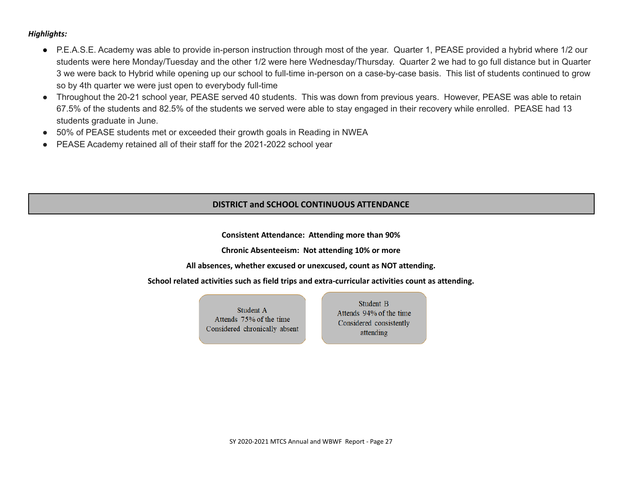## *Highlights:*

- P.E.A.S.E. Academy was able to provide in-person instruction through most of the year. Quarter 1, PEASE provided a hybrid where 1/2 our students were here Monday/Tuesday and the other 1/2 were here Wednesday/Thursday. Quarter 2 we had to go full distance but in Quarter 3 we were back to Hybrid while opening up our school to full-time in-person on a case-by-case basis. This list of students continued to grow so by 4th quarter we were just open to everybody full-time
- Throughout the 20-21 school year, PEASE served 40 students. This was down from previous years. However, PEASE was able to retain 67.5% of the students and 82.5% of the students we served were able to stay engaged in their recovery while enrolled. PEASE had 13 students graduate in June.
- 50% of PEASE students met or exceeded their growth goals in Reading in NWEA
- PEASE Academy retained all of their staff for the 2021-2022 school year

# **DISTRICT and SCHOOL CONTINUOUS ATTENDANCE**

**Consistent Attendance: Attending more than 90%**

**Chronic Absenteeism: Not attending 10% or more**

**All absences, whether excused or unexcused, count as NOT attending.**

**School related activities such as field trips and extra-curricular activities count as attending.**

Student A Attends 75% of the time Considered chronically absent

Student B Attends 94% of the time Considered consistently attending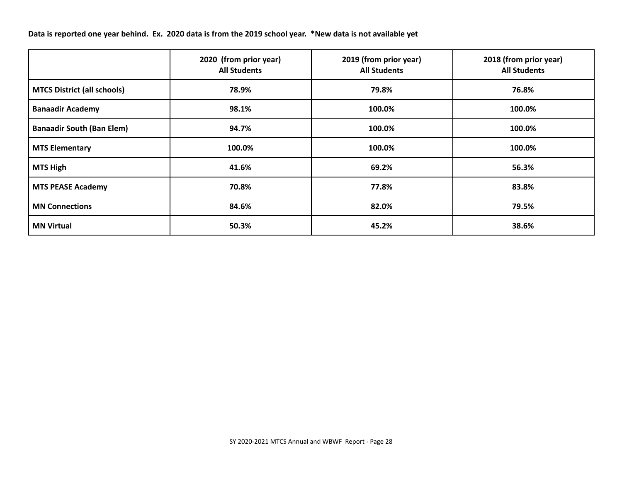Data is reported one year behind. Ex. 2020 data is from the 2019 school year. \*New data is not available yet

|                                    | 2020 (from prior year)<br><b>All Students</b> | 2019 (from prior year)<br><b>All Students</b> | 2018 (from prior year)<br><b>All Students</b> |
|------------------------------------|-----------------------------------------------|-----------------------------------------------|-----------------------------------------------|
| <b>MTCS District (all schools)</b> | 78.9%                                         | 79.8%                                         | 76.8%                                         |
| <b>Banaadir Academy</b>            | 98.1%                                         | 100.0%                                        | 100.0%                                        |
| <b>Banaadir South (Ban Elem)</b>   | 94.7%                                         | 100.0%                                        | 100.0%                                        |
| <b>MTS Elementary</b>              | 100.0%                                        | 100.0%                                        | 100.0%                                        |
| <b>MTS High</b>                    | 41.6%                                         | 69.2%                                         | 56.3%                                         |
| <b>MTS PEASE Academy</b>           | 70.8%                                         | 77.8%                                         | 83.8%                                         |
| <b>MN Connections</b>              | 84.6%                                         | 82.0%                                         | 79.5%                                         |
| <b>MN Virtual</b>                  | 50.3%                                         | 45.2%                                         | 38.6%                                         |